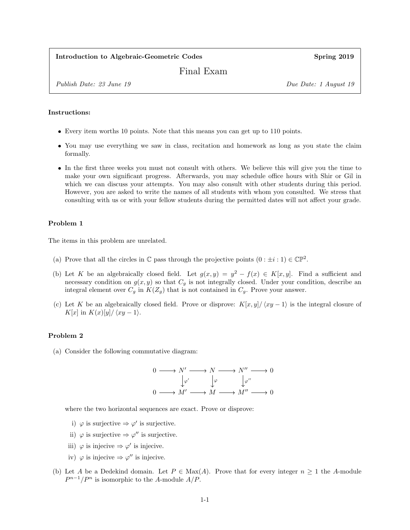### Introduction to Algebraic-Geometric Codes Spring 2019

# Final Exam

Publish Date: 23 June 19 Due Date: 1 August 19

#### Instructions:

- Every item worths 10 points. Note that this means you can get up to 110 points.
- You may use everything we saw in class, recitation and homework as long as you state the claim formally.
- In the first three weeks you must not consult with others. We believe this will give you the time to make your own significant progress. Afterwards, you may schedule office hours with Shir or Gil in which we can discuss your attempts. You may also consult with other students during this period. However, you are asked to write the names of all students with whom you consulted. We stress that consulting with us or with your fellow students during the permitted dates will not affect your grade.

#### Problem 1

The items in this problem are unrelated.

- (a) Prove that all the circles in  $\mathbb C$  pass through the projective points  $(0 : \pm i : 1) \in \mathbb{CP}^2$ .
- (b) Let K be an algebraically closed field. Let  $g(x, y) = y^2 f(x) \in K[x, y]$ . Find a sufficient and necessary condition on  $g(x, y)$  so that  $C_g$  is not integrally closed. Under your condition, describe an integral element over  $C_g$  in  $K(Z_g)$  that is not contained in  $C_g$ . Prove your answer.
- (c) Let K be an algebraically closed field. Prove or disprove:  $K[x, y]/\langle xy 1 \rangle$  is the integral closure of K[x] in  $K(x)[y]/\langle xy - 1 \rangle$ .

## Problem 2

(a) Consider the following commutative diagram:



where the two horizontal sequences are exact. Prove or disprove:

- i)  $\varphi$  is surjective  $\Rightarrow \varphi'$  is surjective.
- ii)  $\varphi$  is surjective  $\Rightarrow \varphi''$  is surjective.
- iii)  $\varphi$  is injecive  $\Rightarrow \varphi'$  is injecive.
- iv)  $\varphi$  is injecive  $\Rightarrow \varphi''$  is injecive.
- (b) Let A be a Dedekind domain. Let  $P \in \text{Max}(A)$ . Prove that for every integer  $n \geq 1$  the A-module  $P^{n-1}/P^n$  is isomorphic to the A-module  $A/P$ .